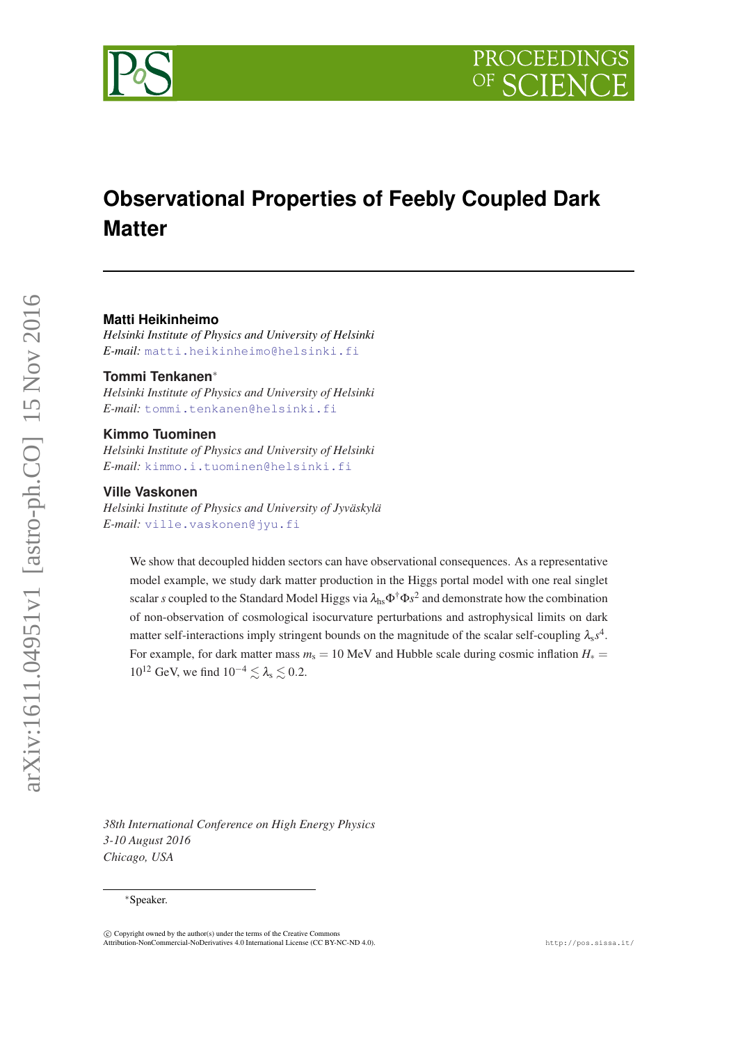

# **Observational Properties of Feebly Coupled Dark Matter**

## **Matti Heikinheimo**

*Helsinki Institute of Physics and University of Helsinki E-mail:* [matti.heikinheimo@helsinki.fi](mailto:matti.heikinheimo@helsinki.fi)

# **Tommi Tenkanen**<sup>∗</sup>

*Helsinki Institute of Physics and University of Helsinki E-mail:* [tommi.tenkanen@helsinki.fi](mailto:tommi.tenkanen@helsinki.fi)

#### **Kimmo Tuominen**

*Helsinki Institute of Physics and University of Helsinki E-mail:* [kimmo.i.tuominen@helsinki.fi](mailto:kimmo.i.tuominen@helsinki.fi)

#### **Ville Vaskonen**

*Helsinki Institute of Physics and University of Jyväskylä E-mail:* [ville.vaskonen@jyu.fi](mailto:ville.vaskonen@jyu.fi)

We show that decoupled hidden sectors can have observational consequences. As a representative model example, we study dark matter production in the Higgs portal model with one real singlet scalar *s* coupled to the Standard Model Higgs via  $\lambda_{hs} \Phi^{\dagger} \Phi s^2$  and demonstrate how the combination of non-observation of cosmological isocurvature perturbations and astrophysical limits on dark matter self-interactions imply stringent bounds on the magnitude of the scalar self-coupling  $\lambda_s s^4$ . For example, for dark matter mass  $m_s = 10$  MeV and Hubble scale during cosmic inflation  $H_* =$  $10^{12}$  GeV, we find  $10^{-4} \le \lambda_s \le 0.2$ .

*38th International Conference on High Energy Physics 3-10 August 2016 Chicago, USA*

arXiv:1611.04951v1 [astro-ph.CO] 15 Nov 2016

arXiv:1611.04951v1 [astro-ph.CO] 15 Nov 2016

<sup>∗</sup>Speaker.

 $\overline{c}$  Copyright owned by the author(s) under the terms of the Creative Common Attribution-NonCommercial-NoDerivatives 4.0 International License (CC BY-NC-ND 4.0). http://pos.sissa.it/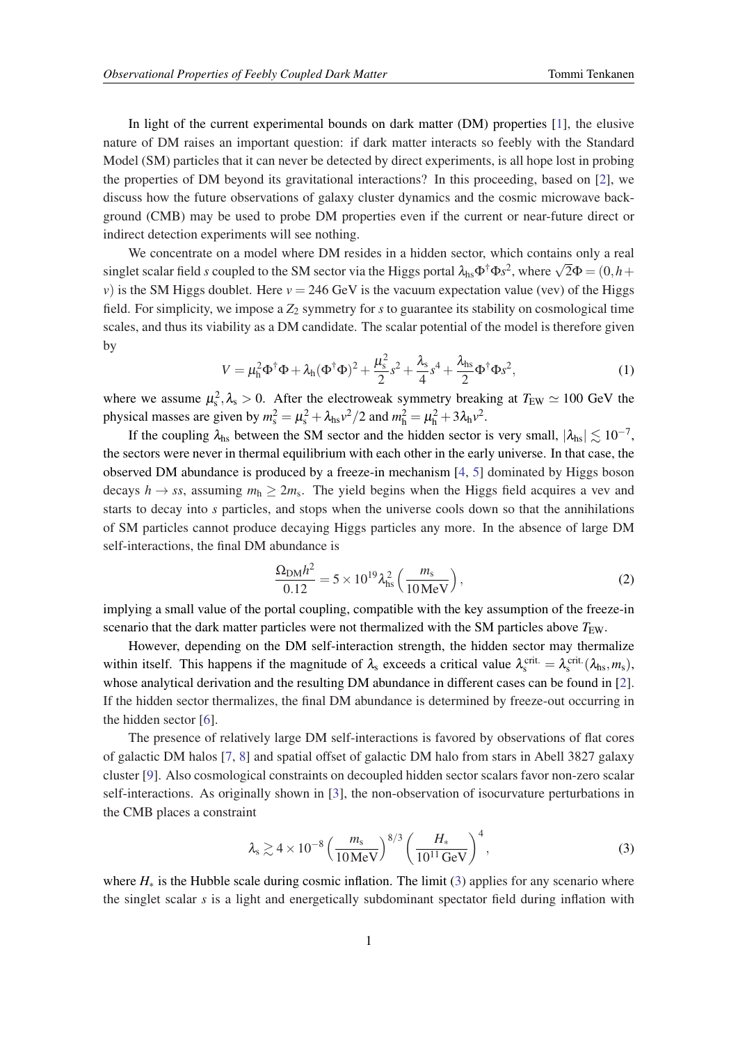<span id="page-1-0"></span>In light of the current experimental bounds on dark matter (DM) properties [[1](#page-3-0)], the elusive nature of DM raises an important question: if dark matter interacts so feebly with the Standard Model (SM) particles that it can never be detected by direct experiments, is all hope lost in probing the properties of DM beyond its gravitational interactions? In this proceeding, based on [[2](#page-3-0)], we discuss how the future observations of galaxy cluster dynamics and the cosmic microwave background (CMB) may be used to probe DM properties even if the current or near-future direct or indirect detection experiments will see nothing.

We concentrate on a model where DM resides in a hidden sector, which contains only a real we concentrate on a model where DM restaces in a model sector, which contains only a real singlet scalar field *s* coupled to the SM sector via the Higgs portal  $\lambda_{hs} \Phi^{\dagger} \Phi s^2$ , where  $\sqrt{2} \Phi = (0, h +$ *v*) is the SM Higgs doublet. Here  $v = 246$  GeV is the vacuum expectation value (vev) of the Higgs field. For simplicity, we impose a  $Z_2$  symmetry for *s* to guarantee its stability on cosmological time scales, and thus its viability as a DM candidate. The scalar potential of the model is therefore given by

$$
V = \mu_{h}^{2} \Phi^{\dagger} \Phi + \lambda_{h} (\Phi^{\dagger} \Phi)^{2} + \frac{\mu_{s}^{2}}{2} s^{2} + \frac{\lambda_{s}}{4} s^{4} + \frac{\lambda_{hs}}{2} \Phi^{\dagger} \Phi s^{2}, \tag{1}
$$

where we assume  $\mu_s^2$ ,  $\lambda_s > 0$ . After the electroweak symmetry breaking at  $T_{EW} \simeq 100$  GeV the physical masses are given by  $m_s^2 = \mu_s^2 + \lambda_{hs}v^2/2$  and  $m_h^2 = \mu_h^2 + 3\lambda_hv^2$ .

If the coupling  $\lambda_{hs}$  between the SM sector and the hidden sector is very small,  $|\lambda_{hs}| \lesssim 10^{-7}$ , the sectors were never in thermal equilibrium with each other in the early universe. In that case, the observed DM abundance is produced by a freeze-in mechanism [\[4,](#page-3-0) [5\]](#page-3-0) dominated by Higgs boson decays  $h \to ss$ , assuming  $m_h \geq 2m_s$ . The yield begins when the Higgs field acquires a vev and starts to decay into *s* particles, and stops when the universe cools down so that the annihilations of SM particles cannot produce decaying Higgs particles any more. In the absence of large DM self-interactions, the final DM abundance is

$$
\frac{\Omega_{\rm DM}h^2}{0.12} = 5 \times 10^{19} \lambda_{\rm hs}^2 \left( \frac{m_{\rm s}}{10 \,\text{MeV}} \right),\tag{2}
$$

implying a small value of the portal coupling, compatible with the key assumption of the freeze-in scenario that the dark matter particles were not thermalized with the SM particles above  $T_{\text{EW}}$ .

However, depending on the DM self-interaction strength, the hidden sector may thermalize within itself. This happens if the magnitude of  $\lambda_s$  exceeds a critical value  $\lambda_s^{\text{crit.}} = \lambda_s^{\text{crit.}}(\lambda_{\text{hs}}, m_s)$ , whose analytical derivation and the resulting DM abundance in different cases can be found in [\[2\]](#page-3-0). If the hidden sector thermalizes, the final DM abundance is determined by freeze-out occurring in the hidden sector [\[6\]](#page-3-0).

The presence of relatively large DM self-interactions is favored by observations of flat cores of galactic DM halos [[7](#page-3-0), [8](#page-3-0)] and spatial offset of galactic DM halo from stars in Abell 3827 galaxy cluster [\[9\]](#page-3-0). Also cosmological constraints on decoupled hidden sector scalars favor non-zero scalar self-interactions. As originally shown in [\[3\]](#page-3-0), the non-observation of isocurvature perturbations in the CMB places a constraint

$$
\lambda_s \gtrsim 4 \times 10^{-8} \left( \frac{m_s}{10 \,\text{MeV}} \right)^{8/3} \left( \frac{H_*}{10^{11} \,\text{GeV}} \right)^4,
$$
\n(3)

where *H*<sup>∗</sup> is the Hubble scale during cosmic inflation. The limit (3) applies for any scenario where the singlet scalar *s* is a light and energetically subdominant spectator field during inflation with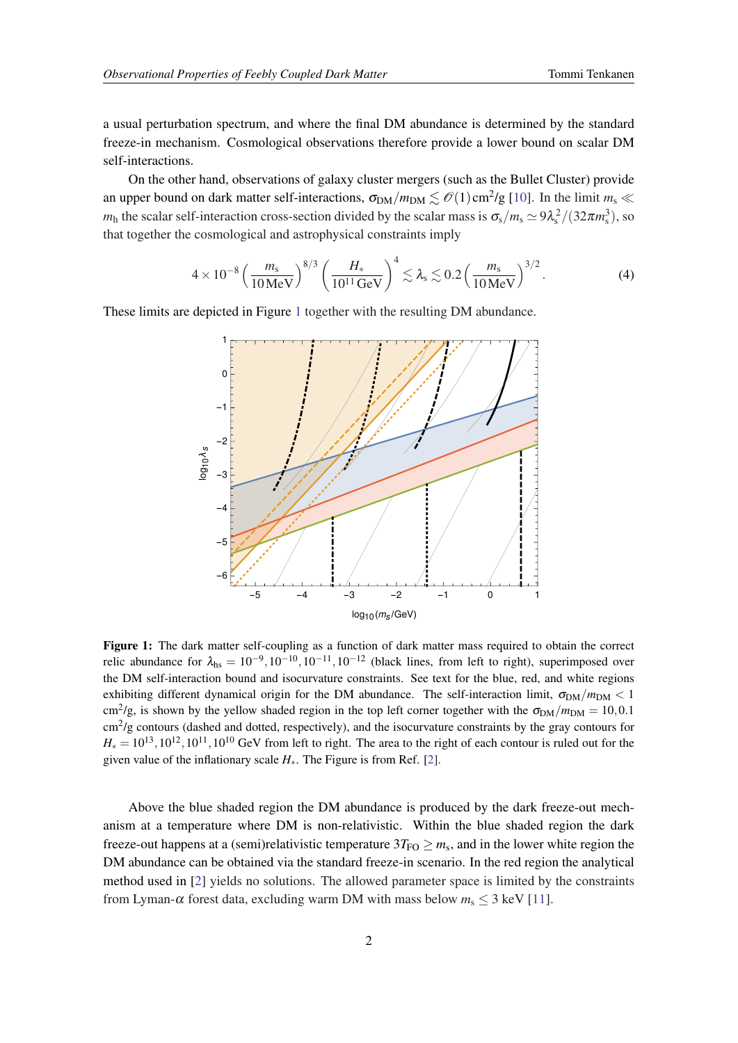<span id="page-2-0"></span>a usual perturbation spectrum, and where the final DM abundance is determined by the standard freeze-in mechanism. Cosmological observations therefore provide a lower bound on scalar DM self-interactions.

On the other hand, observations of galaxy cluster mergers (such as the Bullet Cluster) provide an upper bound on dark matter self-interactions,  $\sigma_{DM}/m_{DM} \lesssim \mathcal{O}(1) \text{ cm}^2/\text{g}$  [\[10](#page-3-0)]. In the limit  $m_s \ll$ *m*<sub>h</sub> the scalar self-interaction cross-section divided by the scalar mass is  $\sigma_s/m_s \simeq 9\lambda_s^2/(32\pi m_s^3)$ , so that together the cosmological and astrophysical constraints imply

$$
4 \times 10^{-8} \left(\frac{m_s}{10 \,\text{MeV}}\right)^{8/3} \left(\frac{H_*}{10^{11} \,\text{GeV}}\right)^4 \lesssim \lambda_s \lesssim 0.2 \left(\frac{m_s}{10 \,\text{MeV}}\right)^{3/2}.
$$
 (4)

These limits are depicted in Figure 1 together with the resulting DM abundance.



Figure 1: The dark matter self-coupling as a function of dark matter mass required to obtain the correct relic abundance for  $\lambda_{\text{hs}} = 10^{-9}$ ,  $10^{-10}$ ,  $10^{-11}$ ,  $10^{-12}$  (black lines, from left to right), superimposed over the DM self-interaction bound and isocurvature constraints. See text for the blue, red, and white regions exhibiting different dynamical origin for the DM abundance. The self-interaction limit,  $\sigma_{DM}/m_{DM} < 1$ cm<sup>2</sup>/g, is shown by the yellow shaded region in the top left corner together with the  $\sigma_{DM}/m_{DM} = 10,0.1$ cm<sup>2</sup>/g contours (dashed and dotted, respectively), and the isocurvature constraints by the gray contours for  $H_* = 10^{13}, 10^{12}, 10^{11}, 10^{10}$  GeV from left to right. The area to the right of each contour is ruled out for the given value of the inflationary scale  $H_*$ . The Figure is from Ref. [\[2](#page-3-0)].

Above the blue shaded region the DM abundance is produced by the dark freeze-out mechanism at a temperature where DM is non-relativistic. Within the blue shaded region the dark freeze-out happens at a (semi)relativistic temperature  $3T_{\text{FO}} \geq m_s$ , and in the lower white region the DM abundance can be obtained via the standard freeze-in scenario. In the red region the analytical method used in [\[2\]](#page-3-0) yields no solutions. The allowed parameter space is limited by the constraints from Lyman- $\alpha$  forest data, excluding warm DM with mass below  $m_s \leq 3$  keV [\[11](#page-3-0)].